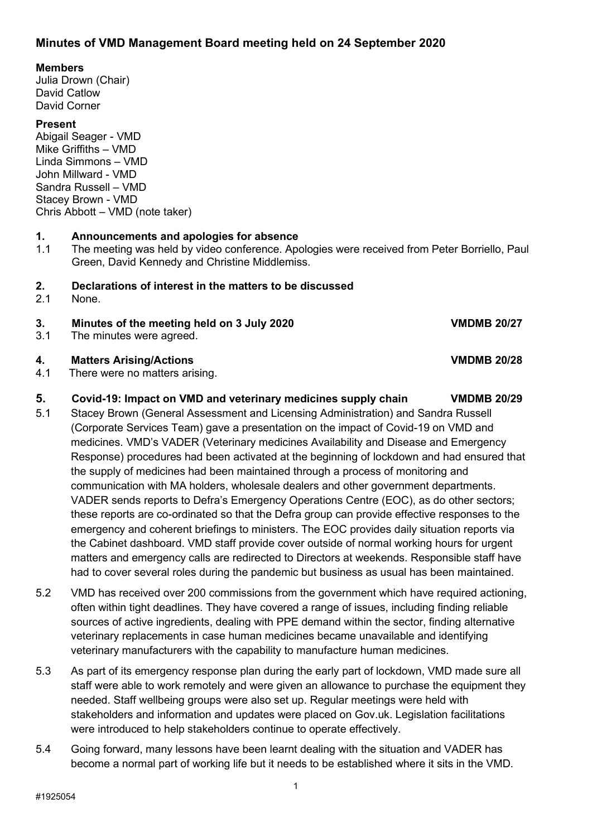## **Minutes of VMD Management Board meeting held on 24 September 2020**

#### **Members**

Julia Drown (Chair) David Catlow David Corner

#### **Present**

Abigail Seager - VMD Mike Griffiths – VMD Linda Simmons – VMD John Millward - VMD Sandra Russell – VMD Stacey Brown - VMD Chris Abbott – VMD (note taker)

# **1. Announcements and apologies for absence**

The meeting was held by video conference. Apologies were received from Peter Borriello, Paul Green, David Kennedy and Christine Middlemiss.

# **2. Declarations of interest in the matters to be discussed**

None.

#### **3. Minutes of the meeting held on 3 July 2020 VMDMB 20/27**

3.1 The minutes were agreed.

#### **4. Matters Arising/Actions VMDMB 20/28**

4.1 There were no matters arising.

#### **5. Covid-19: Impact on VMD and veterinary medicines supply chain VMDMB 20/29**

- 5.1 Stacey Brown (General Assessment and Licensing Administration) and Sandra Russell (Corporate Services Team) gave a presentation on the impact of Covid-19 on VMD and medicines. VMD's VADER (Veterinary medicines Availability and Disease and Emergency Response) procedures had been activated at the beginning of lockdown and had ensured that the supply of medicines had been maintained through a process of monitoring and communication with MA holders, wholesale dealers and other government departments. VADER sends reports to Defra's Emergency Operations Centre (EOC), as do other sectors; these reports are co-ordinated so that the Defra group can provide effective responses to the emergency and coherent briefings to ministers. The EOC provides daily situation reports via the Cabinet dashboard. VMD staff provide cover outside of normal working hours for urgent matters and emergency calls are redirected to Directors at weekends. Responsible staff have had to cover several roles during the pandemic but business as usual has been maintained.
- 5.2 VMD has received over 200 commissions from the government which have required actioning, often within tight deadlines. They have covered a range of issues, including finding reliable sources of active ingredients, dealing with PPE demand within the sector, finding alternative veterinary replacements in case human medicines became unavailable and identifying veterinary manufacturers with the capability to manufacture human medicines.
- 5.3 As part of its emergency response plan during the early part of lockdown, VMD made sure all staff were able to work remotely and were given an allowance to purchase the equipment they needed. Staff wellbeing groups were also set up. Regular meetings were held with stakeholders and information and updates were placed on Gov.uk. Legislation facilitations were introduced to help stakeholders continue to operate effectively.
- 5.4 Going forward, many lessons have been learnt dealing with the situation and VADER has become a normal part of working life but it needs to be established where it sits in the VMD.

1